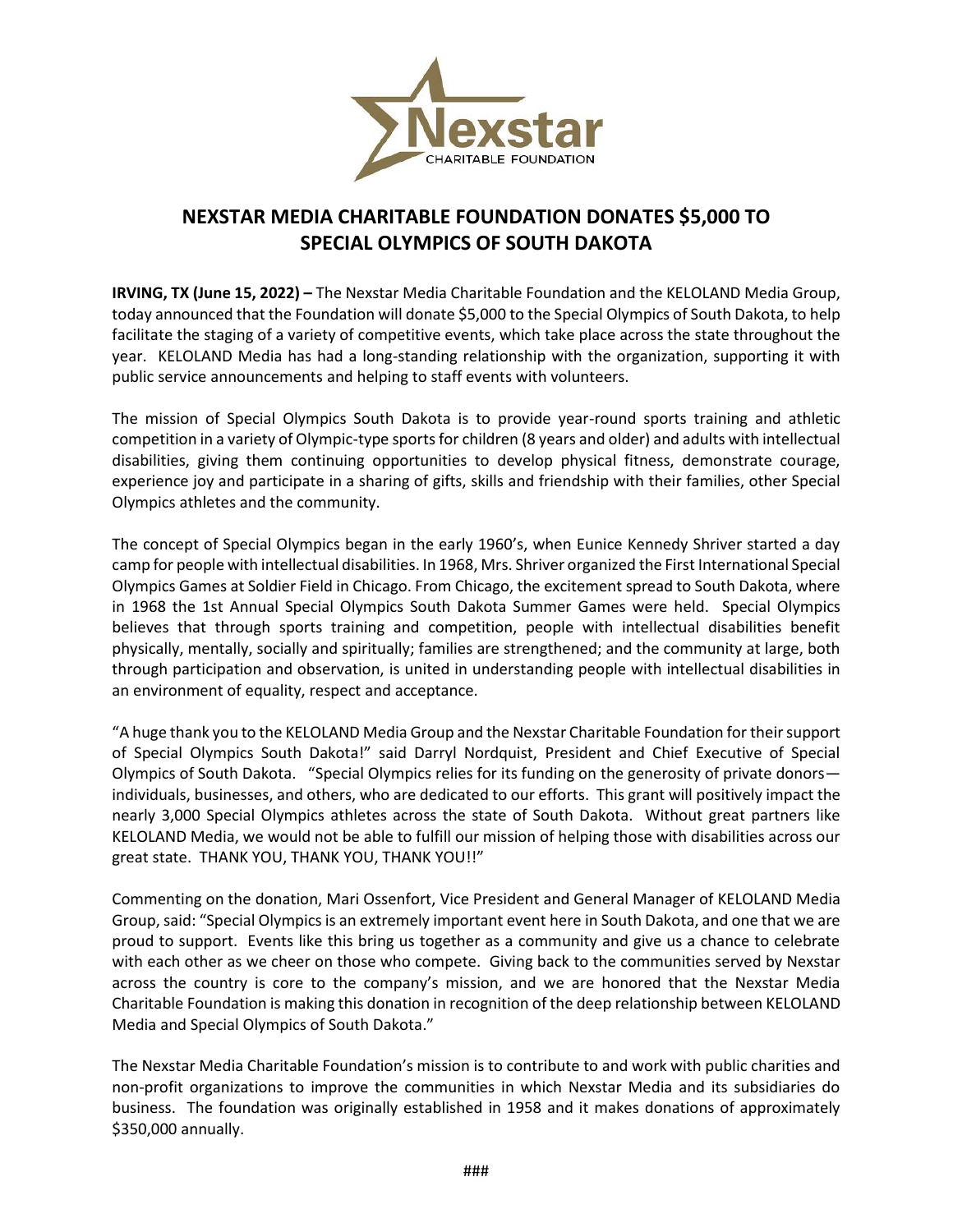

## **NEXSTAR MEDIA CHARITABLE FOUNDATION DONATES \$5,000 TO SPECIAL OLYMPICS OF SOUTH DAKOTA**

**IRVING, TX (June 15, 2022) –** The Nexstar Media Charitable Foundation and the KELOLAND Media Group, today announced that the Foundation will donate \$5,000 to the Special Olympics of South Dakota, to help facilitate the staging of a variety of competitive events, which take place across the state throughout the year. KELOLAND Media has had a long-standing relationship with the organization, supporting it with public service announcements and helping to staff events with volunteers.

The mission of Special Olympics South Dakota is to provide year-round sports training and athletic competition in a variety of Olympic-type sports for children (8 years and older) and adults with intellectual disabilities, giving them continuing opportunities to develop physical fitness, demonstrate courage, experience joy and participate in a sharing of gifts, skills and friendship with their families, other Special Olympics athletes and the community.

The concept of Special Olympics began in the early 1960's, when Eunice Kennedy Shriver started a day camp for people with intellectual disabilities. In 1968, Mrs. Shriver organized the First International Special Olympics Games at Soldier Field in Chicago. From Chicago, the excitement spread to South Dakota, where in 1968 the 1st Annual Special Olympics South Dakota Summer Games were held. Special Olympics believes that through sports training and competition, people with intellectual disabilities benefit physically, mentally, socially and spiritually; families are strengthened; and the community at large, both through participation and observation, is united in understanding people with intellectual disabilities in an environment of equality, respect and acceptance.

"A huge thank you to the KELOLAND Media Group and the Nexstar Charitable Foundation for theirsupport of Special Olympics South Dakota!" said Darryl Nordquist, President and Chief Executive of Special Olympics of South Dakota. "Special Olympics relies for its funding on the generosity of private donors individuals, businesses, and others, who are dedicated to our efforts. This grant will positively impact the nearly 3,000 Special Olympics athletes across the state of South Dakota. Without great partners like KELOLAND Media, we would not be able to fulfill our mission of helping those with disabilities across our great state. THANK YOU, THANK YOU, THANK YOU!!"

Commenting on the donation, Mari Ossenfort, Vice President and General Manager of KELOLAND Media Group, said: "Special Olympics is an extremely important event here in South Dakota, and one that we are proud to support. Events like this bring us together as a community and give us a chance to celebrate with each other as we cheer on those who compete. Giving back to the communities served by Nexstar across the country is core to the company's mission, and we are honored that the Nexstar Media Charitable Foundation is making this donation in recognition of the deep relationship between KELOLAND Media and Special Olympics of South Dakota."

The Nexstar Media Charitable Foundation's mission is to contribute to and work with public charities and non-profit organizations to improve the communities in which Nexstar Media and its subsidiaries do business. The foundation was originally established in 1958 and it makes donations of approximately \$350,000 annually.